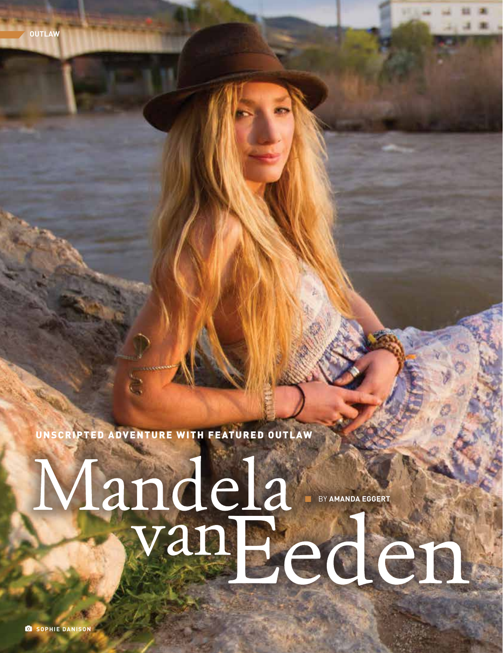UNSCRIPTED ADVENTURE WITH FEATURED OUTLAW

## BY **AMANDA EGGERT**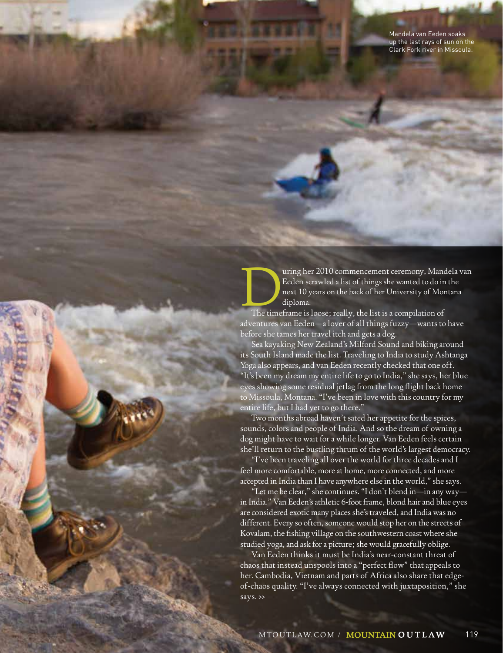**SECTION** Mandela van Eeden soaks up the last rays of sun on the Clark Fork river in Missoula.

The uring her 2010 commencement ceremony, Mandela van<br>
Eeden scrawled a list of things she wanted to do in the<br>
next 10 years on the back of her University of Montana<br>
diploma.<br>
The timeframe is loose; really, the list is Eeden scrawled a list of things she wanted to do in the next 10 years on the back of her University of Montana diploma.

adventures van Eeden—a lover of all things fuzzy—wants to have before she tames her travel itch and gets a dog.

Sea kayaking New Zealand's Milford Sound and biking around its South Island made the list. Traveling to India to study Ashtanga Yoga also appears, and van Eeden recently checked that one off. "It's been my dream my entire life to go to India," she says, her blue eyes showing some residual jetlag from the long flight back home to Missoula, Montana. "I've been in love with this country for my entire life, but I had yet to go there."

Two months abroad haven't sated her appetite for the spices, sounds, colors and people of India. And so the dream of owning a dog might have to wait for a while longer. Van Eeden feels certain she'll return to the bustling thrum of the world's largest democracy.

"I've been traveling all over the world for three decades and I feel more comfortable, more at home, more connected, and more accepted in India than I have anywhere else in the world," she says.

"Let me be clear," she continues. "I don't blend in—in any way in India." Van Eeden's athletic 6-foot frame, blond hair and blue eyes are considered exotic many places she's traveled, and India was no different. Every so often, someone would stop her on the streets of Kovalam, the fishing village on the southwestern coast where she studied yoga, and ask for a picture; she would gracefully oblige.

Van Eeden thinks it must be India's near-constant threat of chaos that instead unspools into a "perfect flow" that appeals to her. Cambodia, Vietnam and parts of Africa also share that edgeof-chaos quality. "I've always connected with juxtaposition," she says. >>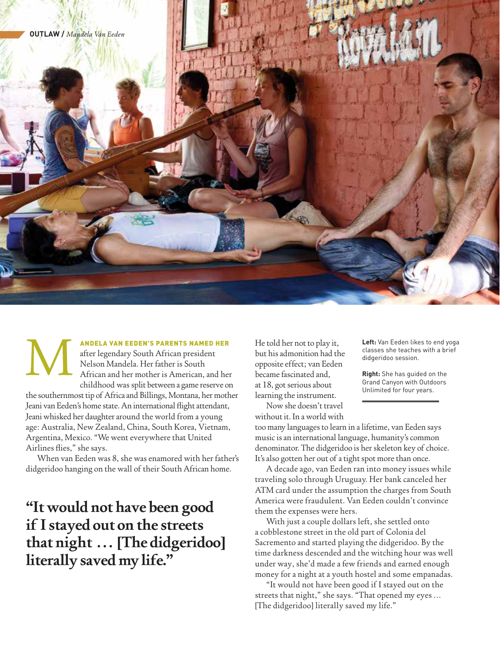

ANDELA VAN EEDEN'S PARENTS NAMED HER after legendary South African president Nelson Mandela. Her father is South African and her mother is American, and her childhood was split between a game reserve on the southernmost tip of Africa and Billings, Montana, her mother Jeani van Eeden's home state. An international flight attendant,

Jeani whisked her daughter around the world from a young age: Australia, New Zealand, China, South Korea, Vietnam, Argentina, Mexico. "We went everywhere that United Airlines flies," she says.

When van Eeden was 8, she was enamored with her father's didgeridoo hanging on the wall of their South African home.

**"It would not have been good if I stayed out on the streets that night … [The didgeridoo] literally saved my life."**

He told her not to play it, but his admonition had the opposite effect; van Eeden became fascinated and, at 18, got serious about learning the instrument.

Now she doesn't travel without it. In a world with **Left:** Van Eeden likes to end yoga classes she teaches with a brief didgeridoo session.

**Right:** She has guided on the Grand Canyon with Outdoors Unlimited for four years.

too many languages to learn in a lifetime, van Eeden says music is an international language, humanity's common denominator. The didgeridoo is her skeleton key of choice. It's also gotten her out of a tight spot more than once.

A decade ago, van Eeden ran into money issues while traveling solo through Uruguay. Her bank canceled her ATM card under the assumption the charges from South America were fraudulent. Van Eeden couldn't convince them the expenses were hers.

With just a couple dollars left, she settled onto a cobblestone street in the old part of Colonia del Sacremento and started playing the didgeridoo. By the time darkness descended and the witching hour was well under way, she'd made a few friends and earned enough money for a night at a youth hostel and some empanadas.

"It would not have been good if I stayed out on the streets that night," she says. "That opened my eyes … [The didgeridoo] literally saved my life."